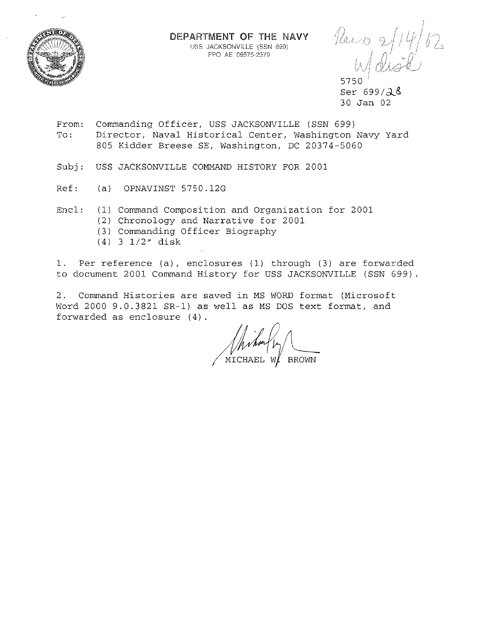

DEPARTMENT OF THE NAVY USS **JACKSONVILLE. (SSN** 699) FPO AE 09575~2379

 $\int$ 

5750 Ser  $699/\lambda$   $8$ 30 Jan 02

- From: To: Commanding Officer, USS JACKSONVILLE (SSN 699) Director, Naval Historical Center, Washington Navy Yard 805 Kidder Breese SE, Washington, DC 20374-5060
- Subj: USS JACKSONVILLE COMMAND HISTORY FOR 2001
- Ref: (a) OPNAVINST 5750.12G
- Encl: (1) Command Composition and Organization for 2001
	- (2) Chronology and Narrative for 2001
	- (3) Commanding Officer Biography
	- (4) 3 1/2" disk

1. Per reference (a), enclosures (1) through (3) are forwarded to document 2001 Command History for USS JACKSONVILLE (SSN 699).

2. Command Histories are saved in MS WORD format (Microsoft Word 2000 9.0.3821 SR-1) as well as MS DOS text format, and forwarded as enclosure (4).

(hum/4)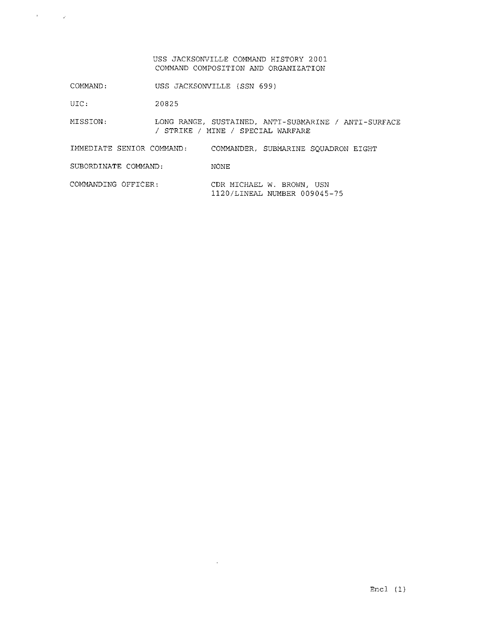## USS JACKSONVILLE COMMAND HISTORY 2001 COMMAND COMPOSITION AND ORGANIZATION

COMMAND: USS JACKSONVILLE (SSN 699)

UIC: 20825

 $\label{eq:2.1} \mathcal{A} = \left\{ \begin{array}{ll} \mathcal{A} & \mathcal{A} \\ \mathcal{A} & \mathcal{A} \end{array} \right.$ 

MISSION: LONG RANGE, SUSTAINED, ANTI-SUBMARINE / ANTI-SURFACE / STRIKE / MINE / SPECIAL WARFARE

IMMEDIATE SENIOR COMMAND: COMMANDER, SUBMARINE SQUADRON EIGHT

SUBORDINATE COMMAND: NONE

COMMANDING OFFICER: CDR MICHAEL W. BROWN, USN 1120/LINEAL NUMBER 009045-75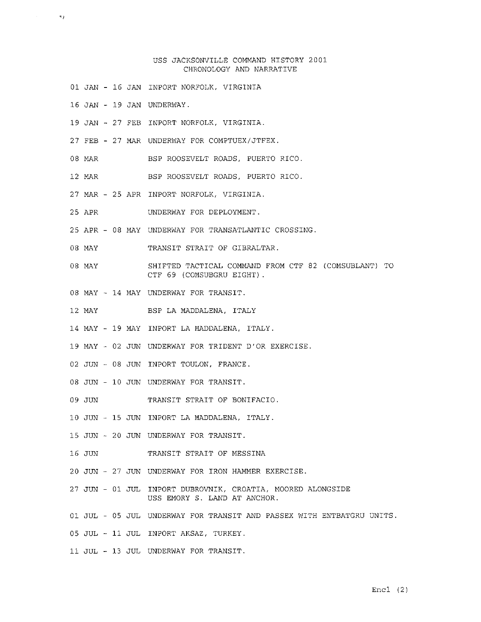## USS JACKSONVILLE COMMAND HISTORY 2001 CHRONOLOGY AND NARRATIVE

- 01 JAN 16 JAN INPORT NOR?OLK, VIRGINIA
- 16 JAN 19 JAN UNDERWAY.

 $~^{\circ}$ .

- 19 JAN 27 FEB INPORT NORFOLK, VIRGINIA.
- 27 FEB 27 MAR UNDERWAY FOR COMPTUEX/JTFEX.
- 08 MAR BSP ROOSEVELT ROADS, PUERTO RICO.
- 12 MAR BSP ROOSEVELT ROADS, PUERTO RICO.
- 27 MAR 25 APR INPORT NORFOLK, VIRGINIA.
- 25 APR UNDERWAY FOR DEPLOYMENT.
- 25 APR 08 MAY UNDERWAY FOR TRANSATLANTIC CROSSING.
- 08 MAY TRANSIT STRAIT OF GIBRALTAR.
- 08 MAY SHIFTED TACTICAL COMMAND FROM CTF 82 (COMSUBLANT) TO CTF 69 (COMSUBGRU EIGHT).
- 08 MAY 14 MAY UNDERWAY FOR TRANSIT.
- 12 MAY ESP LA MADDALENA, ITALY
- 14 MAY 19 MAY INPORT LA MADDALENA, ITALY.
- 19 MAY 02 JUN UNDERWAY FOR TRIDENT D'OR EXERCISE.
- 02 JUN 08 JUN INPORT TOULON, FRANCE.
- 08 JUN 10 JUN UNDERWAY FOR TRANSIT.
- 09 JUN TRANSIT STRAIT OF BONIFACIO.
- 10 JUN 15 JUN INPORT LA MADDALENA, ITALY.
- 15 JUN 20 JUN UNDERWAY FOR TRANSIT.
- 16 JUN TRANSIT STRAIT OF MESSINA
- 20 JUN 27 JUN UNDERWAY FOR IRON HAMMER EXERCISE.
- 27 JUN 01 JUL INPORT DUBROVNIK, CROATIA, MOORED ALONGSIDE USS EMORY S. LAND AT ANCHOR.
- 01 JUL 05 JUL UNDERWAY FOR TRANSIT AND PASSEX WITH ENTBATGRU UNITS.
- 05 JUL 11 JUL INPORT AKSAZ, TURKEY.
- 11 JUL 13 JUL UNDERWAY FOR TRANSIT.